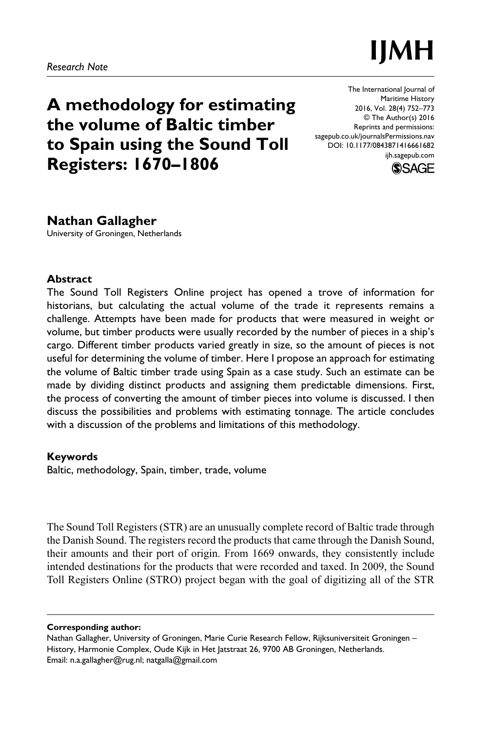# *Research Note* **IJMH**

**A methodology for estimating the volume of Baltic timber to Spain using the Sound Toll Registers: 1670–1806**

The International lournal of Maritime History 2016, Vol. 28(4) 752–773 © The Author(s) 2016 Reprints and permissions: sagepub.co.uk/journalsPermissions.nav DOI: 10.1177/0843871416661682 ijh.sagepub.com



# **Nathan Gallagher**

University of Groningen, Netherlands

#### **Abstract**

The Sound Toll Registers Online project has opened a trove of information for historians, but calculating the actual volume of the trade it represents remains a challenge. Attempts have been made for products that were measured in weight or volume, but timber products were usually recorded by the number of pieces in a ship's cargo. Different timber products varied greatly in size, so the amount of pieces is not useful for determining the volume of timber. Here I propose an approach for estimating the volume of Baltic timber trade using Spain as a case study. Such an estimate can be made by dividing distinct products and assigning them predictable dimensions. First, the process of converting the amount of timber pieces into volume is discussed. I then discuss the possibilities and problems with estimating tonnage. The article concludes with a discussion of the problems and limitations of this methodology.

#### **Keywords**

Baltic, methodology, Spain, timber, trade, volume

The Sound Toll Registers (STR) are an unusually complete record of Baltic trade through the Danish Sound. The registers record the products that came through the Danish Sound, their amounts and their port of origin. From 1669 onwards, they consistently include intended destinations for the products that were recorded and taxed. In 2009, the Sound Toll Registers Online (STRO) project began with the goal of digitizing all of the STR

#### **Corresponding author:**

Nathan Gallagher, University of Groningen, Marie Curie Research Fellow, Rijksuniversiteit Groningen – History, Harmonie Complex, Oude Kijk in Het Jatstraat 26, 9700 AB Groningen, Netherlands. Email: [n.a.gallagher@rug.nl;](mailto:n.a.gallagher@rug.nl) [natgalla@gmail.com](mailto:natgalla@gmail.com)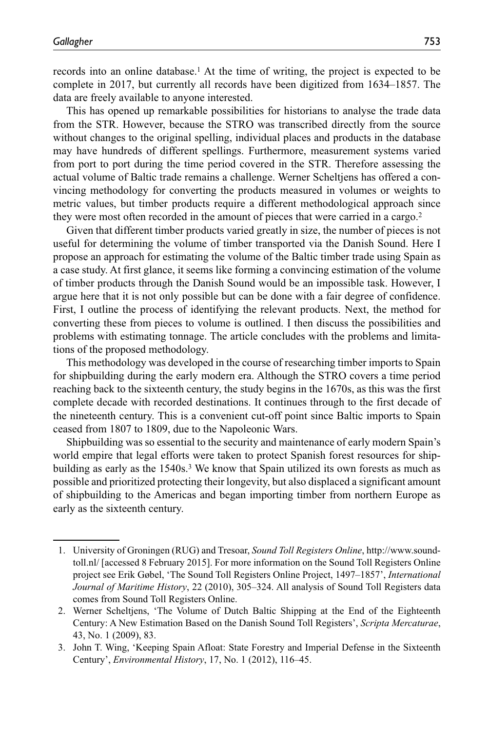records into an online database.1 At the time of writing, the project is expected to be complete in 2017, but currently all records have been digitized from 1634–1857. The data are freely available to anyone interested.

This has opened up remarkable possibilities for historians to analyse the trade data from the STR. However, because the STRO was transcribed directly from the source without changes to the original spelling, individual places and products in the database may have hundreds of different spellings. Furthermore, measurement systems varied from port to port during the time period covered in the STR. Therefore assessing the actual volume of Baltic trade remains a challenge. Werner Scheltjens has offered a convincing methodology for converting the products measured in volumes or weights to metric values, but timber products require a different methodological approach since they were most often recorded in the amount of pieces that were carried in a cargo.2

Given that different timber products varied greatly in size, the number of pieces is not useful for determining the volume of timber transported via the Danish Sound. Here I propose an approach for estimating the volume of the Baltic timber trade using Spain as a case study. At first glance, it seems like forming a convincing estimation of the volume of timber products through the Danish Sound would be an impossible task. However, I argue here that it is not only possible but can be done with a fair degree of confidence. First, I outline the process of identifying the relevant products. Next, the method for converting these from pieces to volume is outlined. I then discuss the possibilities and problems with estimating tonnage. The article concludes with the problems and limitations of the proposed methodology.

This methodology was developed in the course of researching timber imports to Spain for shipbuilding during the early modern era. Although the STRO covers a time period reaching back to the sixteenth century, the study begins in the 1670s, as this was the first complete decade with recorded destinations. It continues through to the first decade of the nineteenth century. This is a convenient cut-off point since Baltic imports to Spain ceased from 1807 to 1809, due to the Napoleonic Wars.

Shipbuilding was so essential to the security and maintenance of early modern Spain's world empire that legal efforts were taken to protect Spanish forest resources for shipbuilding as early as the 1540s.3 We know that Spain utilized its own forests as much as possible and prioritized protecting their longevity, but also displaced a significant amount of shipbuilding to the Americas and began importing timber from northern Europe as early as the sixteenth century.

<sup>1.</sup> University of Groningen (RUG) and Tresoar, *Sound Toll Registers Online*, [http://www.sound](http://www.soundtoll.nl/)[toll.nl/](http://www.soundtoll.nl/) [accessed 8 February 2015]. For more information on the Sound Toll Registers Online project see Erik Gøbel, 'The Sound Toll Registers Online Project, 1497–1857', *International Journal of Maritime History*, 22 (2010), 305–324. All analysis of Sound Toll Registers data comes from Sound Toll Registers Online.

<sup>2.</sup> Werner Scheltjens, 'The Volume of Dutch Baltic Shipping at the End of the Eighteenth Century: A New Estimation Based on the Danish Sound Toll Registers', *Scripta Mercaturae*, 43, No. 1 (2009), 83.

<sup>3.</sup> John T. Wing, 'Keeping Spain Afloat: State Forestry and Imperial Defense in the Sixteenth Century', *Environmental History*, 17, No. 1 (2012), 116–45.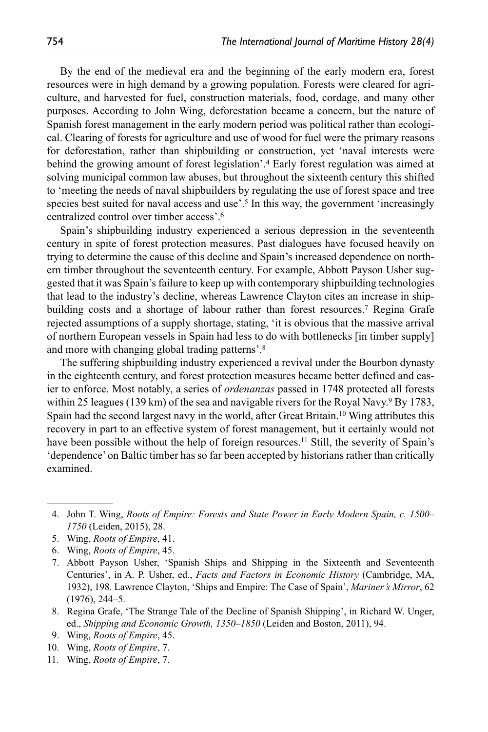By the end of the medieval era and the beginning of the early modern era, forest resources were in high demand by a growing population. Forests were cleared for agriculture, and harvested for fuel, construction materials, food, cordage, and many other purposes. According to John Wing, deforestation became a concern, but the nature of Spanish forest management in the early modern period was political rather than ecological. Clearing of forests for agriculture and use of wood for fuel were the primary reasons for deforestation, rather than shipbuilding or construction, yet 'naval interests were behind the growing amount of forest legislation'.4 Early forest regulation was aimed at solving municipal common law abuses, but throughout the sixteenth century this shifted to 'meeting the needs of naval shipbuilders by regulating the use of forest space and tree species best suited for naval access and use'.<sup>5</sup> In this way, the government 'increasingly centralized control over timber access'.6

Spain's shipbuilding industry experienced a serious depression in the seventeenth century in spite of forest protection measures. Past dialogues have focused heavily on trying to determine the cause of this decline and Spain's increased dependence on northern timber throughout the seventeenth century. For example, Abbott Payson Usher suggested that it was Spain's failure to keep up with contemporary shipbuilding technologies that lead to the industry's decline, whereas Lawrence Clayton cites an increase in shipbuilding costs and a shortage of labour rather than forest resources.7 Regina Grafe rejected assumptions of a supply shortage, stating, 'it is obvious that the massive arrival of northern European vessels in Spain had less to do with bottlenecks [in timber supply] and more with changing global trading patterns'.8

The suffering shipbuilding industry experienced a revival under the Bourbon dynasty in the eighteenth century, and forest protection measures became better defined and easier to enforce. Most notably, a series of *ordenanzas* passed in 1748 protected all forests within 25 leagues (139 km) of the sea and navigable rivers for the Royal Navy.<sup>9</sup> By 1783, Spain had the second largest navy in the world, after Great Britain.10 Wing attributes this recovery in part to an effective system of forest management, but it certainly would not have been possible without the help of foreign resources.<sup>11</sup> Still, the severity of Spain's 'dependence' on Baltic timber has so far been accepted by historians rather than critically examined.

11. Wing, *Roots of Empire*, 7.

<sup>4.</sup> John T. Wing, *Roots of Empire: Forests and State Power in Early Modern Spain, c. 1500– 1750* (Leiden, 2015), 28.

<sup>5.</sup> Wing, *Roots of Empire*, 41.

<sup>6.</sup> Wing, *Roots of Empire*, 45.

<sup>7.</sup> Abbott Payson Usher, 'Spanish Ships and Shipping in the Sixteenth and Seventeenth Centuries', in A. P. Usher, ed., *Facts and Factors in Economic History* (Cambridge, MA, 1932), 198. Lawrence Clayton, 'Ships and Empire: The Case of Spain', *Mariner's Mirror*, 62 (1976), 244–5.

<sup>8.</sup> Regina Grafe, 'The Strange Tale of the Decline of Spanish Shipping', in Richard W. Unger, ed., *Shipping and Economic Growth, 1350–1850* (Leiden and Boston, 2011), 94.

<sup>9.</sup> Wing, *Roots of Empire*, 45.

<sup>10.</sup> Wing, *Roots of Empire*, 7.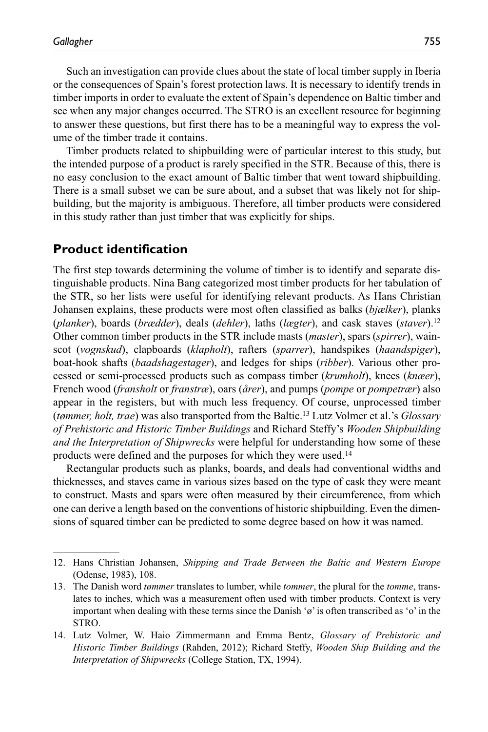Such an investigation can provide clues about the state of local timber supply in Iberia or the consequences of Spain's forest protection laws. It is necessary to identify trends in timber imports in order to evaluate the extent of Spain's dependence on Baltic timber and see when any major changes occurred. The STRO is an excellent resource for beginning to answer these questions, but first there has to be a meaningful way to express the volume of the timber trade it contains.

Timber products related to shipbuilding were of particular interest to this study, but the intended purpose of a product is rarely specified in the STR. Because of this, there is no easy conclusion to the exact amount of Baltic timber that went toward shipbuilding. There is a small subset we can be sure about, and a subset that was likely not for shipbuilding, but the majority is ambiguous. Therefore, all timber products were considered in this study rather than just timber that was explicitly for ships.

### **Product identification**

The first step towards determining the volume of timber is to identify and separate distinguishable products. Nina Bang categorized most timber products for her tabulation of the STR, so her lists were useful for identifying relevant products. As Hans Christian Johansen explains, these products were most often classified as balks (*bjælker*), planks (*planker*), boards (*brædder*), deals (*dehler*), laths (*lægter*), and cask staves (*staver*).12 Other common timber products in the STR include masts (*master*), spars (*spirrer*), wainscot (*vognskud*), clapboards (*klapholt*), rafters (*sparrer*), handspikes (*haandspiger*), boat-hook shafts (*baadshagestager*), and ledges for ships (*ribber*). Various other processed or semi-processed products such as compass timber (*krumholt*), knees (*knæer*), French wood (*fransholt* or *franstræ*), oars (*årer*), and pumps (*pompe* or *pompetrær*) also appear in the registers, but with much less frequency. Of course, unprocessed timber (*tømmer, holt, trae*) was also transported from the Baltic.13 Lutz Volmer et al.'s *Glossary of Prehistoric and Historic Timber Buildings* and Richard Steffy's *Wooden Shipbuilding and the Interpretation of Shipwrecks* were helpful for understanding how some of these products were defined and the purposes for which they were used.14

Rectangular products such as planks, boards, and deals had conventional widths and thicknesses, and staves came in various sizes based on the type of cask they were meant to construct. Masts and spars were often measured by their circumference, from which one can derive a length based on the conventions of historic shipbuilding. Even the dimensions of squared timber can be predicted to some degree based on how it was named.

<sup>12.</sup> Hans Christian Johansen, *Shipping and Trade Between the Baltic and Western Europe* (Odense, 1983), 108.

<sup>13.</sup> The Danish word *tømmer* translates to lumber, while *tommer*, the plural for the *tomme*, translates to inches, which was a measurement often used with timber products. Context is very important when dealing with these terms since the Danish ' $\varnothing$ ' is often transcribed as 'o' in the STRO.

<sup>14.</sup> Lutz Volmer, W. Haio Zimmermann and Emma Bentz, *Glossary of Prehistoric and Historic Timber Buildings* (Rahden, 2012); Richard Steffy, *Wooden Ship Building and the Interpretation of Shipwrecks* (College Station, TX, 1994).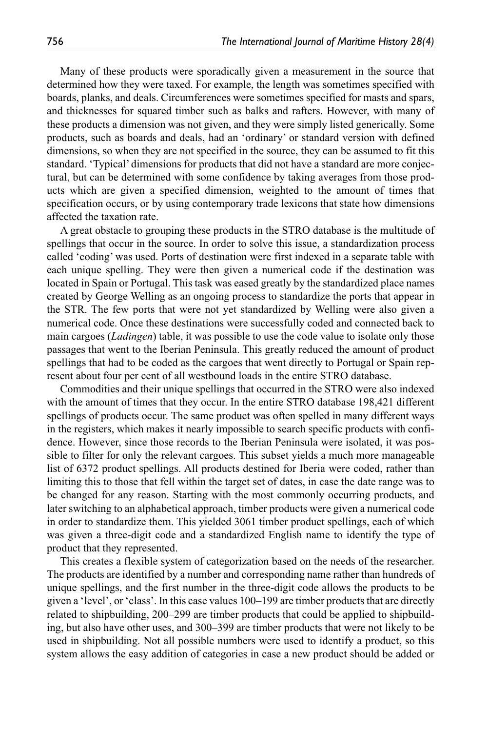Many of these products were sporadically given a measurement in the source that determined how they were taxed. For example, the length was sometimes specified with boards, planks, and deals. Circumferences were sometimes specified for masts and spars, and thicknesses for squared timber such as balks and rafters. However, with many of these products a dimension was not given, and they were simply listed generically. Some products, such as boards and deals, had an 'ordinary' or standard version with defined dimensions, so when they are not specified in the source, they can be assumed to fit this standard. 'Typical' dimensions for products that did not have a standard are more conjectural, but can be determined with some confidence by taking averages from those products which are given a specified dimension, weighted to the amount of times that specification occurs, or by using contemporary trade lexicons that state how dimensions affected the taxation rate.

A great obstacle to grouping these products in the STRO database is the multitude of spellings that occur in the source. In order to solve this issue, a standardization process called 'coding' was used. Ports of destination were first indexed in a separate table with each unique spelling. They were then given a numerical code if the destination was located in Spain or Portugal. This task was eased greatly by the standardized place names created by George Welling as an ongoing process to standardize the ports that appear in the STR. The few ports that were not yet standardized by Welling were also given a numerical code. Once these destinations were successfully coded and connected back to main cargoes (*Ladingen*) table, it was possible to use the code value to isolate only those passages that went to the Iberian Peninsula. This greatly reduced the amount of product spellings that had to be coded as the cargoes that went directly to Portugal or Spain represent about four per cent of all westbound loads in the entire STRO database.

Commodities and their unique spellings that occurred in the STRO were also indexed with the amount of times that they occur. In the entire STRO database 198,421 different spellings of products occur. The same product was often spelled in many different ways in the registers, which makes it nearly impossible to search specific products with confidence. However, since those records to the Iberian Peninsula were isolated, it was possible to filter for only the relevant cargoes. This subset yields a much more manageable list of 6372 product spellings. All products destined for Iberia were coded, rather than limiting this to those that fell within the target set of dates, in case the date range was to be changed for any reason. Starting with the most commonly occurring products, and later switching to an alphabetical approach, timber products were given a numerical code in order to standardize them. This yielded 3061 timber product spellings, each of which was given a three-digit code and a standardized English name to identify the type of product that they represented.

This creates a flexible system of categorization based on the needs of the researcher. The products are identified by a number and corresponding name rather than hundreds of unique spellings, and the first number in the three-digit code allows the products to be given a 'level', or 'class'. In this case values 100–199 are timber products that are directly related to shipbuilding, 200–299 are timber products that could be applied to shipbuilding, but also have other uses, and 300–399 are timber products that were not likely to be used in shipbuilding. Not all possible numbers were used to identify a product, so this system allows the easy addition of categories in case a new product should be added or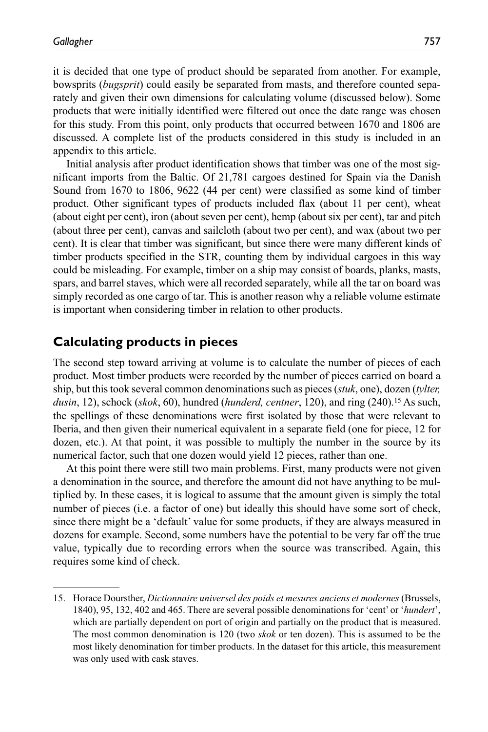it is decided that one type of product should be separated from another. For example, bowsprits (*bugsprit*) could easily be separated from masts, and therefore counted separately and given their own dimensions for calculating volume (discussed below). Some products that were initially identified were filtered out once the date range was chosen for this study. From this point, only products that occurred between 1670 and 1806 are discussed. A complete list of the products considered in this study is included in an appendix to this article.

Initial analysis after product identification shows that timber was one of the most significant imports from the Baltic. Of 21,781 cargoes destined for Spain via the Danish Sound from 1670 to 1806, 9622 (44 per cent) were classified as some kind of timber product. Other significant types of products included flax (about 11 per cent), wheat (about eight per cent), iron (about seven per cent), hemp (about six per cent), tar and pitch (about three per cent), canvas and sailcloth (about two per cent), and wax (about two per cent). It is clear that timber was significant, but since there were many different kinds of timber products specified in the STR, counting them by individual cargoes in this way could be misleading. For example, timber on a ship may consist of boards, planks, masts, spars, and barrel staves, which were all recorded separately, while all the tar on board was simply recorded as one cargo of tar. This is another reason why a reliable volume estimate is important when considering timber in relation to other products.

### **Calculating products in pieces**

The second step toward arriving at volume is to calculate the number of pieces of each product. Most timber products were recorded by the number of pieces carried on board a ship, but this took several common denominations such as pieces (*stuk*, one), dozen (*tylter, dusin*, 12), schock (*skok*, 60), hundred (*hunderd, centner*, 120), and ring (240).15 As such, the spellings of these denominations were first isolated by those that were relevant to Iberia, and then given their numerical equivalent in a separate field (one for piece, 12 for dozen, etc.). At that point, it was possible to multiply the number in the source by its numerical factor, such that one dozen would yield 12 pieces, rather than one.

At this point there were still two main problems. First, many products were not given a denomination in the source, and therefore the amount did not have anything to be multiplied by. In these cases, it is logical to assume that the amount given is simply the total number of pieces (i.e. a factor of one) but ideally this should have some sort of check, since there might be a 'default' value for some products, if they are always measured in dozens for example. Second, some numbers have the potential to be very far off the true value, typically due to recording errors when the source was transcribed. Again, this requires some kind of check.

<sup>15.</sup> Horace Doursther, *Dictionnaire universel des poids et mesures anciens et modernes* (Brussels, 1840), 95, 132, 402 and 465. There are several possible denominations for 'cent' or '*hundert*', which are partially dependent on port of origin and partially on the product that is measured. The most common denomination is 120 (two *skok* or ten dozen). This is assumed to be the most likely denomination for timber products. In the dataset for this article, this measurement was only used with cask staves.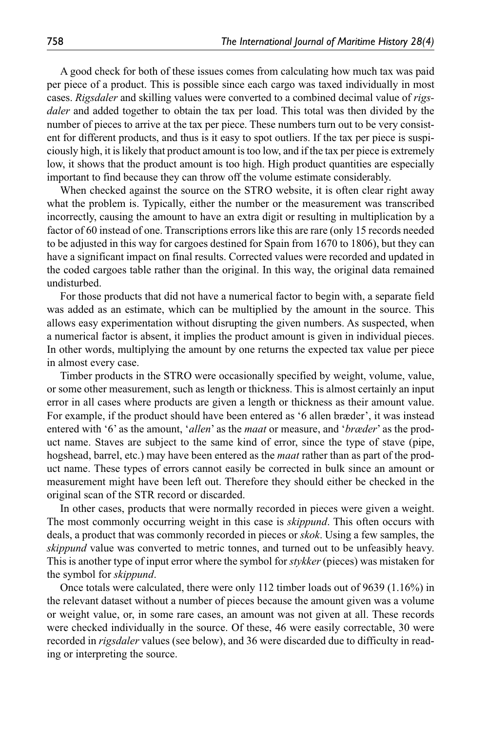A good check for both of these issues comes from calculating how much tax was paid per piece of a product. This is possible since each cargo was taxed individually in most cases. *Rigsdaler* and skilling values were converted to a combined decimal value of *rigsdaler* and added together to obtain the tax per load. This total was then divided by the number of pieces to arrive at the tax per piece. These numbers turn out to be very consistent for different products, and thus is it easy to spot outliers. If the tax per piece is suspiciously high, it is likely that product amount is too low, and if the tax per piece is extremely low, it shows that the product amount is too high. High product quantities are especially important to find because they can throw off the volume estimate considerably.

When checked against the source on the STRO website, it is often clear right away what the problem is. Typically, either the number or the measurement was transcribed incorrectly, causing the amount to have an extra digit or resulting in multiplication by a factor of 60 instead of one. Transcriptions errors like this are rare (only 15 records needed to be adjusted in this way for cargoes destined for Spain from 1670 to 1806), but they can have a significant impact on final results. Corrected values were recorded and updated in the coded cargoes table rather than the original. In this way, the original data remained undisturbed.

For those products that did not have a numerical factor to begin with, a separate field was added as an estimate, which can be multiplied by the amount in the source. This allows easy experimentation without disrupting the given numbers. As suspected, when a numerical factor is absent, it implies the product amount is given in individual pieces. In other words, multiplying the amount by one returns the expected tax value per piece in almost every case.

Timber products in the STRO were occasionally specified by weight, volume, value, or some other measurement, such as length or thickness. This is almost certainly an input error in all cases where products are given a length or thickness as their amount value. For example, if the product should have been entered as '6 allen bræder', it was instead entered with '6' as the amount, '*allen*' as the *maat* or measure, and '*bræder*' as the product name. Staves are subject to the same kind of error, since the type of stave (pipe, hogshead, barrel, etc.) may have been entered as the *maat* rather than as part of the product name. These types of errors cannot easily be corrected in bulk since an amount or measurement might have been left out. Therefore they should either be checked in the original scan of the STR record or discarded.

In other cases, products that were normally recorded in pieces were given a weight. The most commonly occurring weight in this case is *skippund*. This often occurs with deals, a product that was commonly recorded in pieces or *skok*. Using a few samples, the *skippund* value was converted to metric tonnes, and turned out to be unfeasibly heavy. This is another type of input error where the symbol for *stykker* (pieces) was mistaken for the symbol for *skippund*.

Once totals were calculated, there were only 112 timber loads out of 9639 (1.16%) in the relevant dataset without a number of pieces because the amount given was a volume or weight value, or, in some rare cases, an amount was not given at all. These records were checked individually in the source. Of these, 46 were easily correctable, 30 were recorded in *rigsdaler* values (see below), and 36 were discarded due to difficulty in reading or interpreting the source.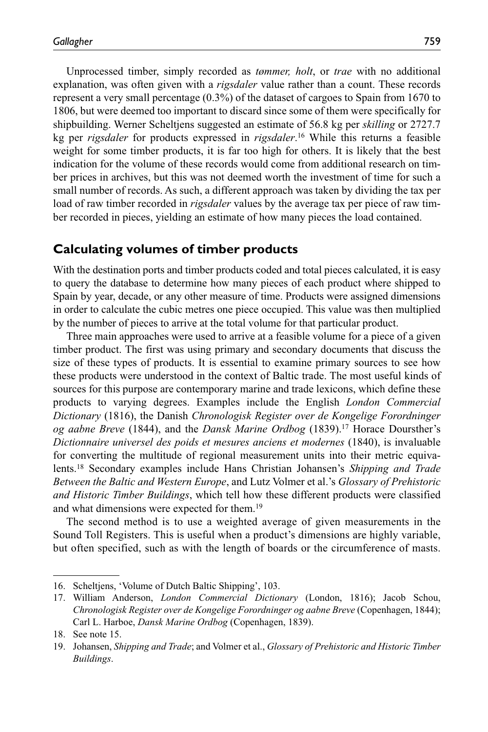Unprocessed timber, simply recorded as *tømmer, holt*, or *trae* with no additional explanation, was often given with a *rigsdaler* value rather than a count. These records represent a very small percentage (0.3%) of the dataset of cargoes to Spain from 1670 to 1806, but were deemed too important to discard since some of them were specifically for shipbuilding. Werner Scheltjens suggested an estimate of 56.8 kg per *skilling* or 2727.7 kg per *rigsdaler* for products expressed in *rigsdaler*. 16 While this returns a feasible weight for some timber products, it is far too high for others. It is likely that the best indication for the volume of these records would come from additional research on timber prices in archives, but this was not deemed worth the investment of time for such a small number of records. As such, a different approach was taken by dividing the tax per load of raw timber recorded in *rigsdaler* values by the average tax per piece of raw timber recorded in pieces, yielding an estimate of how many pieces the load contained.

#### **Calculating volumes of timber products**

With the destination ports and timber products coded and total pieces calculated, it is easy to query the database to determine how many pieces of each product where shipped to Spain by year, decade, or any other measure of time. Products were assigned dimensions in order to calculate the cubic metres one piece occupied. This value was then multiplied by the number of pieces to arrive at the total volume for that particular product.

Three main approaches were used to arrive at a feasible volume for a piece of a given timber product. The first was using primary and secondary documents that discuss the size of these types of products. It is essential to examine primary sources to see how these products were understood in the context of Baltic trade. The most useful kinds of sources for this purpose are contemporary marine and trade lexicons, which define these products to varying degrees. Examples include the English *London Commercial Dictionary* (1816), the Danish *Chronologisk Register over de Kongelige Forordninger og aabne Breve* (1844), and the *Dansk Marine Ordbog* (1839).17 Horace Doursther's *Dictionnaire universel des poids et mesures anciens et modernes* (1840), is invaluable for converting the multitude of regional measurement units into their metric equivalents.18 Secondary examples include Hans Christian Johansen's *Shipping and Trade Between the Baltic and Western Europe*, and Lutz Volmer et al.'s *Glossary of Prehistoric and Historic Timber Buildings*, which tell how these different products were classified and what dimensions were expected for them.19

The second method is to use a weighted average of given measurements in the Sound Toll Registers. This is useful when a product's dimensions are highly variable, but often specified, such as with the length of boards or the circumference of masts.

<sup>16.</sup> Scheltjens, 'Volume of Dutch Baltic Shipping', 103.

<sup>17.</sup> William Anderson, *London Commercial Dictionary* (London, 1816); Jacob Schou, *Chronologisk Register over de Kongelige Forordninger og aabne Breve* (Copenhagen, 1844); Carl L. Harboe, *Dansk Marine Ordbog* (Copenhagen, 1839).

<sup>18.</sup> See note 15.

<sup>19.</sup> Johansen, *Shipping and Trade*; and Volmer et al., *Glossary of Prehistoric and Historic Timber Buildings*.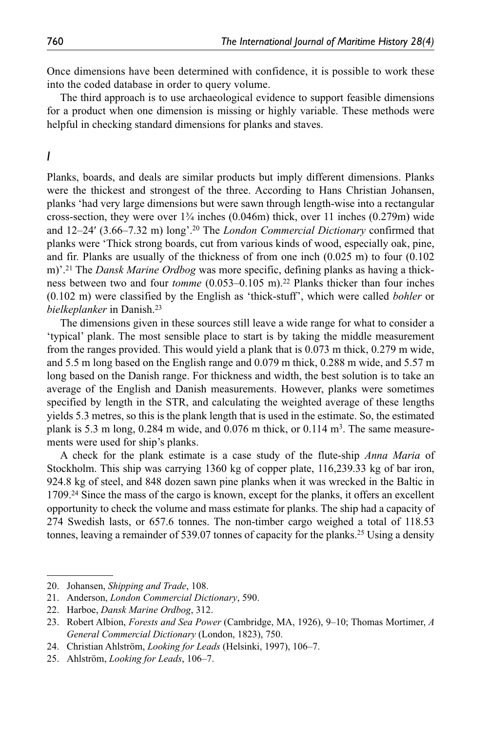Once dimensions have been determined with confidence, it is possible to work these into the coded database in order to query volume.

The third approach is to use archaeological evidence to support feasible dimensions for a product when one dimension is missing or highly variable. These methods were helpful in checking standard dimensions for planks and staves.

# *I*

Planks, boards, and deals are similar products but imply different dimensions. Planks were the thickest and strongest of the three. According to Hans Christian Johansen, planks 'had very large dimensions but were sawn through length-wise into a rectangular cross-section, they were over  $1\frac{3}{4}$  inches (0.046m) thick, over 11 inches (0.279m) wide and 12–24′ (3.66–7.32 m) long'.20 The *London Commercial Dictionary* confirmed that planks were 'Thick strong boards, cut from various kinds of wood, especially oak, pine, and fir. Planks are usually of the thickness of from one inch (0.025 m) to four (0.102 m)'.21 The *Dansk Marine Ordbog* was more specific, defining planks as having a thickness between two and four *tomme* (0.053–0.105 m).22 Planks thicker than four inches (0.102 m) were classified by the English as 'thick-stuff', which were called *bohler* or *bielkeplanker* in Danish.23

The dimensions given in these sources still leave a wide range for what to consider a 'typical' plank. The most sensible place to start is by taking the middle measurement from the ranges provided. This would yield a plank that is 0.073 m thick, 0.279 m wide, and 5.5 m long based on the English range and 0.079 m thick, 0.288 m wide, and 5.57 m long based on the Danish range. For thickness and width, the best solution is to take an average of the English and Danish measurements. However, planks were sometimes specified by length in the STR, and calculating the weighted average of these lengths yields 5.3 metres, so this is the plank length that is used in the estimate. So, the estimated plank is 5.3 m long, 0.284 m wide, and 0.076 m thick, or 0.114  $\text{m}^3$ . The same measurements were used for ship's planks.

A check for the plank estimate is a case study of the flute-ship *Anna Maria* of Stockholm. This ship was carrying 1360 kg of copper plate, 116,239.33 kg of bar iron, 924.8 kg of steel, and 848 dozen sawn pine planks when it was wrecked in the Baltic in 1709.24 Since the mass of the cargo is known, except for the planks, it offers an excellent opportunity to check the volume and mass estimate for planks. The ship had a capacity of 274 Swedish lasts, or 657.6 tonnes. The non-timber cargo weighed a total of 118.53 tonnes, leaving a remainder of 539.07 tonnes of capacity for the planks.25 Using a density

<sup>20.</sup> Johansen, *Shipping and Trade*, 108.

<sup>21.</sup> Anderson, *London Commercial Dictionary*, 590.

<sup>22.</sup> Harboe, *Dansk Marine Ordbog*, 312.

<sup>23.</sup> Robert Albion, *Forests and Sea Power* (Cambridge, MA, 1926), 9–10; Thomas Mortimer, *A General Commercial Dictionary* (London, 1823), 750.

<sup>24.</sup> Christian Ahlström, *Looking for Leads* (Helsinki, 1997), 106–7.

<sup>25.</sup> Ahlström, *Looking for Leads*, 106–7.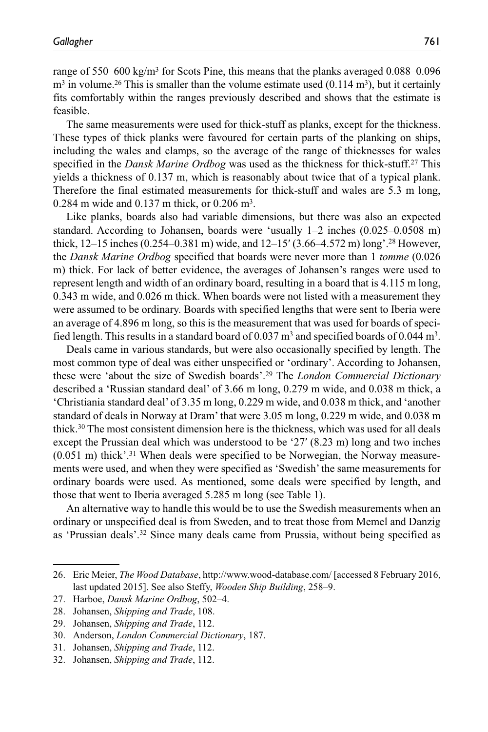range of  $550-600 \text{ kg/m}^3$  for Scots Pine, this means that the planks averaged  $0.088-0.096$  $m<sup>3</sup>$  in volume.<sup>26</sup> This is smaller than the volume estimate used (0.114 m<sup>3</sup>), but it certainly fits comfortably within the ranges previously described and shows that the estimate is

feasible. The same measurements were used for thick-stuff as planks, except for the thickness. These types of thick planks were favoured for certain parts of the planking on ships, including the wales and clamps, so the average of the range of thicknesses for wales specified in the *Dansk Marine Ordbog* was used as the thickness for thick-stuff.27 This yields a thickness of 0.137 m, which is reasonably about twice that of a typical plank. Therefore the final estimated measurements for thick-stuff and wales are 5.3 m long, 0.284 m wide and 0.137 m thick, or 0.206 m3.

Like planks, boards also had variable dimensions, but there was also an expected standard. According to Johansen, boards were 'usually 1–2 inches (0.025–0.0508 m) thick, 12–15 inches (0.254–0.381 m) wide, and 12–15′ (3.66–4.572 m) long'.28 However, the *Dansk Marine Ordbog* specified that boards were never more than 1 *tomme* (0.026 m) thick. For lack of better evidence, the averages of Johansen's ranges were used to represent length and width of an ordinary board, resulting in a board that is 4.115 m long, 0.343 m wide, and 0.026 m thick. When boards were not listed with a measurement they were assumed to be ordinary. Boards with specified lengths that were sent to Iberia were an average of 4.896 m long, so this is the measurement that was used for boards of specified length. This results in a standard board of  $0.037 \text{ m}^3$  and specified boards of  $0.044 \text{ m}^3$ .

Deals came in various standards, but were also occasionally specified by length. The most common type of deal was either unspecified or 'ordinary'. According to Johansen, these were 'about the size of Swedish boards'.29 The *London Commercial Dictionary* described a 'Russian standard deal' of 3.66 m long, 0.279 m wide, and 0.038 m thick, a 'Christiania standard deal' of 3.35 m long, 0.229 m wide, and 0.038 m thick, and 'another standard of deals in Norway at Dram' that were 3.05 m long, 0.229 m wide, and 0.038 m thick.30 The most consistent dimension here is the thickness, which was used for all deals except the Prussian deal which was understood to be '27′ (8.23 m) long and two inches (0.051 m) thick'.31 When deals were specified to be Norwegian, the Norway measurements were used, and when they were specified as 'Swedish' the same measurements for ordinary boards were used. As mentioned, some deals were specified by length, and those that went to Iberia averaged 5.285 m long (see Table 1).

An alternative way to handle this would be to use the Swedish measurements when an ordinary or unspecified deal is from Sweden, and to treat those from Memel and Danzig as 'Prussian deals'.32 Since many deals came from Prussia, without being specified as

<sup>26.</sup> Eric Meier, *The Wood Database*,<http://www.wood-database.com/>[accessed 8 February 2016, last updated 2015]. See also Steffy, *Wooden Ship Building*, 258–9.

<sup>27.</sup> Harboe, *Dansk Marine Ordbog*, 502–4.

<sup>28.</sup> Johansen, *Shipping and Trade*, 108.

<sup>29.</sup> Johansen, *Shipping and Trade*, 112.

<sup>30.</sup> Anderson, *London Commercial Dictionary*, 187.

<sup>31.</sup> Johansen, *Shipping and Trade*, 112.

<sup>32.</sup> Johansen, *Shipping and Trade*, 112.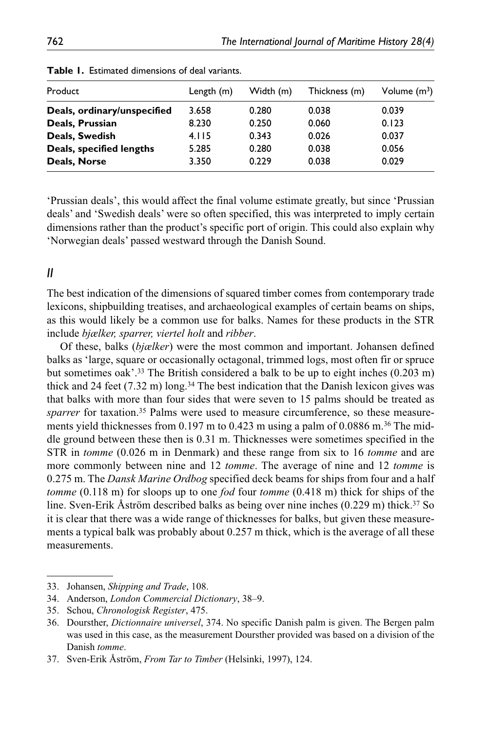| Product                     | Length (m) | Width (m) | Thickness (m) | Volume $(m^3)$ |  |
|-----------------------------|------------|-----------|---------------|----------------|--|
| Deals, ordinary/unspecified | 3.658      | 0.280     | 0.038         | 0.039          |  |
| Deals, Prussian             | 8.230      | 0.250     | 0.060         | 0.123          |  |
| Deals, Swedish              | 4.115      | 0.343     | 0.026         | 0.037          |  |
| Deals, specified lengths    | 5.285      | 0.280     | 0.038         | 0.056          |  |
| Deals, Norse                | 3.350      | 0.229     | 0.038         | 0.029          |  |

**Table 1.** Estimated dimensions of deal variants.

'Prussian deals', this would affect the final volume estimate greatly, but since 'Prussian deals' and 'Swedish deals' were so often specified, this was interpreted to imply certain dimensions rather than the product's specific port of origin. This could also explain why 'Norwegian deals' passed westward through the Danish Sound.

#### *II*

The best indication of the dimensions of squared timber comes from contemporary trade lexicons, shipbuilding treatises, and archaeological examples of certain beams on ships, as this would likely be a common use for balks. Names for these products in the STR include *bjælker, sparrer, viertel holt* and *ribber*.

Of these, balks (*bjælker*) were the most common and important. Johansen defined balks as 'large, square or occasionally octagonal, trimmed logs, most often fir or spruce but sometimes oak'.<sup>33</sup> The British considered a balk to be up to eight inches (0.203 m) thick and 24 feet  $(7.32 \text{ m}) \text{ long.}^{34}$  The best indication that the Danish lexicon gives was that balks with more than four sides that were seven to 15 palms should be treated as *sparrer* for taxation.<sup>35</sup> Palms were used to measure circumference, so these measurements yield thicknesses from  $0.197$  m to  $0.423$  m using a palm of  $0.0886$  m.<sup>36</sup> The middle ground between these then is 0.31 m. Thicknesses were sometimes specified in the STR in *tomme* (0.026 m in Denmark) and these range from six to 16 *tomme* and are more commonly between nine and 12 *tomme*. The average of nine and 12 *tomme* is 0.275 m. The *Dansk Marine Ordbog* specified deck beams for ships from four and a half *tomme* (0.118 m) for sloops up to one *fod* four *tomme* (0.418 m) thick for ships of the line. Sven-Erik Åström described balks as being over nine inches (0.229 m) thick.37 So it is clear that there was a wide range of thicknesses for balks, but given these measurements a typical balk was probably about 0.257 m thick, which is the average of all these measurements.

<sup>33.</sup> Johansen, *Shipping and Trade*, 108.

<sup>34.</sup> Anderson, *London Commercial Dictionary*, 38–9.

<sup>35.</sup> Schou, *Chronologisk Register*, 475.

<sup>36.</sup> Doursther, *Dictionnaire universel*, 374. No specific Danish palm is given. The Bergen palm was used in this case, as the measurement Doursther provided was based on a division of the Danish *tomme*.

<sup>37.</sup> Sven-Erik Åström, *From Tar to Timber* (Helsinki, 1997), 124.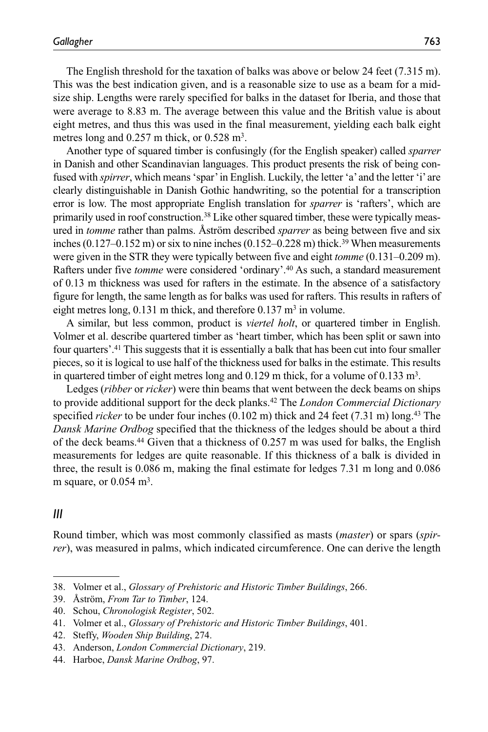The English threshold for the taxation of balks was above or below 24 feet (7.315 m). This was the best indication given, and is a reasonable size to use as a beam for a midsize ship. Lengths were rarely specified for balks in the dataset for Iberia, and those that were average to 8.83 m. The average between this value and the British value is about eight metres, and thus this was used in the final measurement, yielding each balk eight metres long and 0.257 m thick, or 0.528 m<sup>3</sup>.

Another type of squared timber is confusingly (for the English speaker) called *sparrer* in Danish and other Scandinavian languages. This product presents the risk of being confused with *spirrer*, which means 'spar' in English. Luckily, the letter 'a' and the letter 'i' are clearly distinguishable in Danish Gothic handwriting, so the potential for a transcription error is low. The most appropriate English translation for *sparrer* is 'rafters', which are primarily used in roof construction.38 Like other squared timber, these were typically measured in *tomme* rather than palms. Åström described *sparrer* as being between five and six inches  $(0.127-0.152 \text{ m})$  or six to nine inches  $(0.152-0.228 \text{ m})$  thick.<sup>39</sup> When measurements were given in the STR they were typically between five and eight *tomme* (0.131–0.209 m). Rafters under five *tomme* were considered 'ordinary'.40 As such, a standard measurement of 0.13 m thickness was used for rafters in the estimate. In the absence of a satisfactory figure for length, the same length as for balks was used for rafters. This results in rafters of eight metres long, 0.131 m thick, and therefore 0.137 m<sup>3</sup> in volume.

A similar, but less common, product is *viertel holt*, or quartered timber in English. Volmer et al. describe quartered timber as 'heart timber, which has been split or sawn into four quarters'.41 This suggests that it is essentially a balk that has been cut into four smaller pieces, so it is logical to use half of the thickness used for balks in the estimate. This results in quartered timber of eight metres long and  $0.129$  m thick, for a volume of  $0.133$  m<sup>3</sup>.

Ledges (*ribber* or *ricker*) were thin beams that went between the deck beams on ships to provide additional support for the deck planks.42 The *London Commercial Dictionary* specified *ricker* to be under four inches (0.102 m) thick and 24 feet (7.31 m) long.<sup>43</sup> The *Dansk Marine Ordbog* specified that the thickness of the ledges should be about a third of the deck beams.44 Given that a thickness of 0.257 m was used for balks, the English measurements for ledges are quite reasonable. If this thickness of a balk is divided in three, the result is 0.086 m, making the final estimate for ledges 7.31 m long and 0.086 m square, or  $0.054 \text{ m}^3$ .

#### *III*

Round timber, which was most commonly classified as masts (*master*) or spars (*spirrer*), was measured in palms, which indicated circumference. One can derive the length

<sup>38.</sup> Volmer et al., *Glossary of Prehistoric and Historic Timber Buildings*, 266.

<sup>39.</sup> Åström, *From Tar to Timber*, 124.

<sup>40.</sup> Schou, *Chronologisk Register*, 502.

<sup>41.</sup> Volmer et al., *Glossary of Prehistoric and Historic Timber Buildings*, 401.

<sup>42.</sup> Steffy, *Wooden Ship Building*, 274.

<sup>43.</sup> Anderson, *London Commercial Dictionary*, 219.

<sup>44.</sup> Harboe, *Dansk Marine Ordbog*, 97.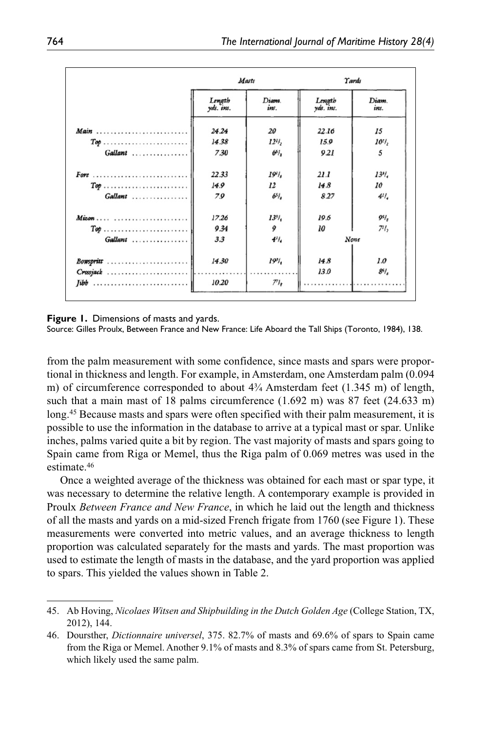|                                                                      | Masts               |                  | Yards               |                 |  |
|----------------------------------------------------------------------|---------------------|------------------|---------------------|-----------------|--|
|                                                                      | Length<br>yds. ins. | Diam.<br>ins.    | Length<br>yds. ins. | Diam.<br>ins.   |  |
| Main                                                                 | 24.24               | 20               | 22.16               | 15              |  |
| $\mathit{Top}\ldots\ldots\ldots\ldots\ldots\ldots\ldots\ldots\ldots$ | 14.38               | $12\%$           | 15.9                | $10^{7}$        |  |
| Gallant                                                              | 7.30                | $6^{5}l_a$       | 9.21                | 5               |  |
| $Force$                                                              | 22.33               | 19 <sup>1</sup>  | 21.1                | 13 <sup>3</sup> |  |
| $\mathit{Top}\ldots\ldots\ldots\ldots\ldots\ldots\ldots\ldots\ldots$ | 14.9                | 12               | 14.8                | 10              |  |
| Gallant                                                              | 7.9                 | 651 <sub>a</sub> | 8.27                | 4 <sup>1</sup>  |  |
| $Mizon \ldots \ldots \ldots \ldots \ldots$                           | 17.26               | 13 <sup>s</sup>  | 19.6                | $9^{s}$ /s      |  |
| $Top \dots \dots \dots \dots \dots \dots \dots \dots \dots$          | 9.34                | 9                | 10                  | 71/2            |  |
| Gallant                                                              | 3.3                 | $4^{i}$          | None                |                 |  |
| <b>Bowspritt</b>                                                     | 14.30               | 19%              | 14.8                | 1.0             |  |
| $Crossjack$                                                          |                     |                  | 13.0                | $8\%$           |  |
| $J$ ibb                                                              | 10.20               | $Tl_{s}$         |                     |                 |  |

**Figure 1.** Dimensions of masts and yards.

Source: Gilles Proulx, Between France and New France: Life Aboard the Tall Ships (Toronto, 1984), 138.

from the palm measurement with some confidence, since masts and spars were proportional in thickness and length. For example, in Amsterdam, one Amsterdam palm (0.094 m) of circumference corresponded to about  $4\frac{3}{4}$  Amsterdam feet (1.345 m) of length, such that a main mast of 18 palms circumference  $(1.692 \text{ m})$  was 87 feet  $(24.633 \text{ m})$ long.<sup>45</sup> Because masts and spars were often specified with their palm measurement, it is possible to use the information in the database to arrive at a typical mast or spar. Unlike inches, palms varied quite a bit by region. The vast majority of masts and spars going to Spain came from Riga or Memel, thus the Riga palm of 0.069 metres was used in the estimate 46

Once a weighted average of the thickness was obtained for each mast or spar type, it was necessary to determine the relative length. A contemporary example is provided in Proulx *Between France and New France*, in which he laid out the length and thickness of all the masts and yards on a mid-sized French frigate from 1760 (see Figure 1). These measurements were converted into metric values, and an average thickness to length proportion was calculated separately for the masts and yards. The mast proportion was used to estimate the length of masts in the database, and the yard proportion was applied to spars. This yielded the values shown in Table 2.

<sup>45.</sup> Ab Hoving, *Nicolaes Witsen and Shipbuilding in the Dutch Golden Age* (College Station, TX, 2012), 144.

<sup>46.</sup> Doursther, *Dictionnaire universel*, 375. 82.7% of masts and 69.6% of spars to Spain came from the Riga or Memel. Another 9.1% of masts and 8.3% of spars came from St. Petersburg, which likely used the same palm.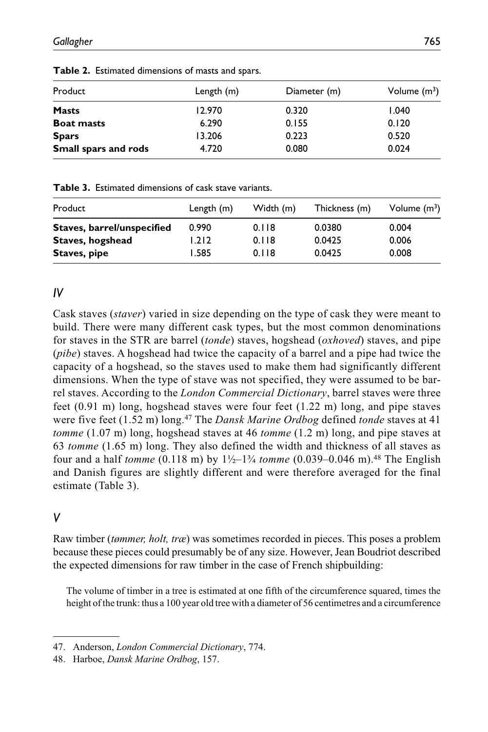| Product              | Length (m) | Diameter (m) | Volume $(m^3)$ |
|----------------------|------------|--------------|----------------|
| <b>Masts</b>         | 12.970     | 0.320        | 1.040          |
| <b>Boat masts</b>    | 6.290      | 0.155        | 0.120          |
| <b>Spars</b>         | 13.206     | 0.223        | 0.520          |
| Small spars and rods | 4.720      | 0.080        | 0.024          |

**Table 2.** Estimated dimensions of masts and spars.

**Table 3.** Estimated dimensions of cask stave variants.

| Product                    | Length (m) | Width (m) | Thickness (m) | Volume $(m^3)$ |
|----------------------------|------------|-----------|---------------|----------------|
| Staves, barrel/unspecified | 0.990      | 0.118     | 0.0380        | 0.004          |
| Staves, hogshead           | 1.212      | 0.118     | 0.0425        | 0.006          |
| Staves, pipe               | I.585      | 0.118     | 0.0425        | 0.008          |

## *IV*

Cask staves (*staver*) varied in size depending on the type of cask they were meant to build. There were many different cask types, but the most common denominations for staves in the STR are barrel (*tonde*) staves, hogshead (*oxhoved*) staves, and pipe (*pibe*) staves. A hogshead had twice the capacity of a barrel and a pipe had twice the capacity of a hogshead, so the staves used to make them had significantly different dimensions. When the type of stave was not specified, they were assumed to be barrel staves. According to the *London Commercial Dictionary*, barrel staves were three feet (0.91 m) long, hogshead staves were four feet (1.22 m) long, and pipe staves were five feet (1.52 m) long.47 The *Dansk Marine Ordbog* defined *tonde* staves at 41 *tomme* (1.07 m) long, hogshead staves at 46 *tomme* (1.2 m) long, and pipe staves at 63 *tomme* (1.65 m) long. They also defined the width and thickness of all staves as four and a half *tomme* (0.118 m) by 1½–1¾ *tomme* (0.039–0.046 m).48 The English and Danish figures are slightly different and were therefore averaged for the final estimate (Table 3).

### *V*

Raw timber (*tømmer, holt, træ*) was sometimes recorded in pieces. This poses a problem because these pieces could presumably be of any size. However, Jean Boudriot described the expected dimensions for raw timber in the case of French shipbuilding:

The volume of timber in a tree is estimated at one fifth of the circumference squared, times the height of the trunk: thus a 100 year old tree with a diameter of 56 centimetres and a circumference

47. Anderson, *London Commercial Dictionary*, 774.

<sup>48.</sup> Harboe, *Dansk Marine Ordbog*, 157.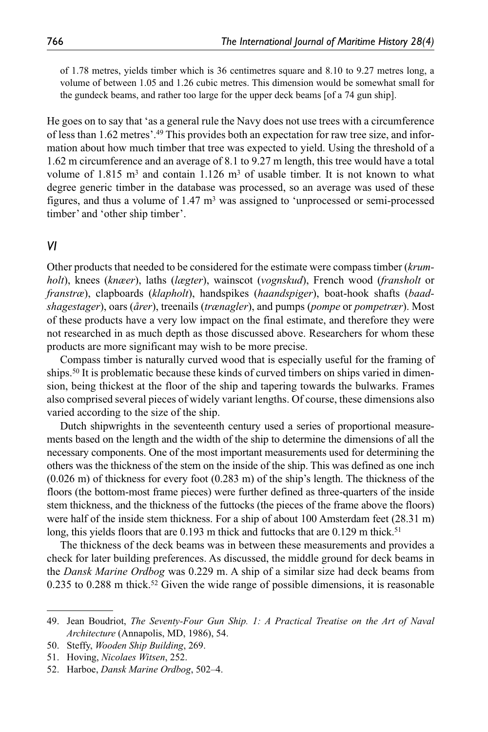of 1.78 metres, yields timber which is 36 centimetres square and 8.10 to 9.27 metres long, a volume of between 1.05 and 1.26 cubic metres. This dimension would be somewhat small for the gundeck beams, and rather too large for the upper deck beams [of a 74 gun ship].

He goes on to say that 'as a general rule the Navy does not use trees with a circumference of less than 1.62 metres'.49 This provides both an expectation for raw tree size, and information about how much timber that tree was expected to yield. Using the threshold of a 1.62 m circumference and an average of 8.1 to 9.27 m length, this tree would have a total volume of 1.815  $m<sup>3</sup>$  and contain 1.126  $m<sup>3</sup>$  of usable timber. It is not known to what degree generic timber in the database was processed, so an average was used of these figures, and thus a volume of  $1.47 \text{ m}^3$  was assigned to 'unprocessed or semi-processed timber' and 'other ship timber'.

#### *VI*

Other products that needed to be considered for the estimate were compass timber (*krumholt*), knees (*knæer*), laths (*lægter*), wainscot (*vognskud*), French wood (*fransholt* or *franstræ*), clapboards (*klapholt*), handspikes (*haandspiger*), boat-hook shafts (*baadshagestager*), oars (*årer*), treenails (*trænagler*), and pumps (*pompe* or *pompetrær*). Most of these products have a very low impact on the final estimate, and therefore they were not researched in as much depth as those discussed above. Researchers for whom these products are more significant may wish to be more precise.

Compass timber is naturally curved wood that is especially useful for the framing of ships.<sup>50</sup> It is problematic because these kinds of curved timbers on ships varied in dimension, being thickest at the floor of the ship and tapering towards the bulwarks. Frames also comprised several pieces of widely variant lengths. Of course, these dimensions also varied according to the size of the ship.

Dutch shipwrights in the seventeenth century used a series of proportional measurements based on the length and the width of the ship to determine the dimensions of all the necessary components. One of the most important measurements used for determining the others was the thickness of the stem on the inside of the ship. This was defined as one inch (0.026 m) of thickness for every foot (0.283 m) of the ship's length. The thickness of the floors (the bottom-most frame pieces) were further defined as three-quarters of the inside stem thickness, and the thickness of the futtocks (the pieces of the frame above the floors) were half of the inside stem thickness. For a ship of about 100 Amsterdam feet (28.31 m) long, this yields floors that are 0.193 m thick and futtocks that are 0.129 m thick.<sup>51</sup>

The thickness of the deck beams was in between these measurements and provides a check for later building preferences. As discussed, the middle ground for deck beams in the *Dansk Marine Ordbog* was 0.229 m. A ship of a similar size had deck beams from 0.235 to 0.288 m thick.<sup>52</sup> Given the wide range of possible dimensions, it is reasonable

<sup>49.</sup> Jean Boudriot, *The Seventy-Four Gun Ship. 1: A Practical Treatise on the Art of Naval Architecture* (Annapolis, MD, 1986), 54.

<sup>50.</sup> Steffy, *Wooden Ship Building*, 269.

<sup>51.</sup> Hoving, *Nicolaes Witsen*, 252.

<sup>52.</sup> Harboe, *Dansk Marine Ordbog*, 502–4.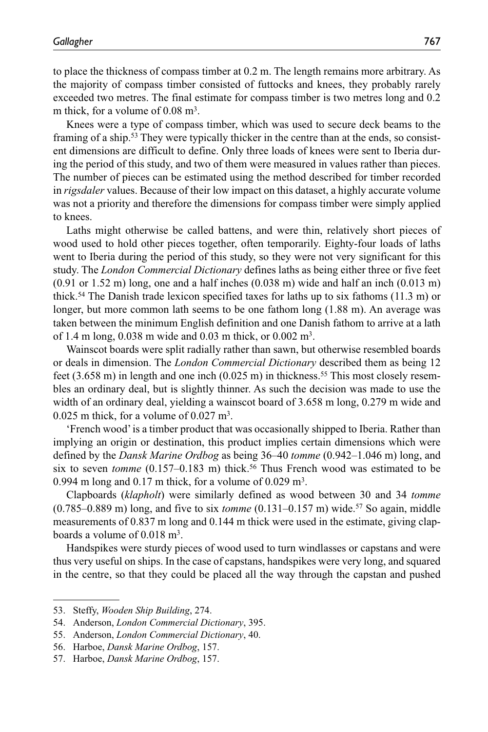to place the thickness of compass timber at 0.2 m. The length remains more arbitrary. As the majority of compass timber consisted of futtocks and knees, they probably rarely exceeded two metres. The final estimate for compass timber is two metres long and 0.2 m thick, for a volume of 0.08 m<sup>3</sup>.

Knees were a type of compass timber, which was used to secure deck beams to the framing of a ship.53 They were typically thicker in the centre than at the ends, so consistent dimensions are difficult to define. Only three loads of knees were sent to Iberia during the period of this study, and two of them were measured in values rather than pieces. The number of pieces can be estimated using the method described for timber recorded in *rigsdaler* values. Because of their low impact on this dataset, a highly accurate volume was not a priority and therefore the dimensions for compass timber were simply applied to knees.

Laths might otherwise be called battens, and were thin, relatively short pieces of wood used to hold other pieces together, often temporarily. Eighty-four loads of laths went to Iberia during the period of this study, so they were not very significant for this study. The *London Commercial Dictionary* defines laths as being either three or five feet  $(0.91 \text{ or } 1.52 \text{ m})$  long, one and a half inches  $(0.038 \text{ m})$  wide and half an inch  $(0.013 \text{ m})$ thick.<sup>54</sup> The Danish trade lexicon specified taxes for laths up to six fathoms  $(11.3 \text{ m})$  or longer, but more common lath seems to be one fathom long (1.88 m). An average was taken between the minimum English definition and one Danish fathom to arrive at a lath of 1.4 m long, 0.038 m wide and 0.03 m thick, or 0.002 m3.

Wainscot boards were split radially rather than sawn, but otherwise resembled boards or deals in dimension. The *London Commercial Dictionary* described them as being 12 feet (3.658 m) in length and one inch (0.025 m) in thickness.55 This most closely resembles an ordinary deal, but is slightly thinner. As such the decision was made to use the width of an ordinary deal, yielding a wainscot board of 3.658 m long, 0.279 m wide and 0.025 m thick, for a volume of 0.027 m3.

'French wood' is a timber product that was occasionally shipped to Iberia. Rather than implying an origin or destination, this product implies certain dimensions which were defined by the *Dansk Marine Ordbog* as being 36–40 *tomme* (0.942–1.046 m) long, and six to seven *tomme* (0.157–0.183 m) thick.56 Thus French wood was estimated to be 0.994 m long and  $0.17$  m thick, for a volume of  $0.029$  m<sup>3</sup>.

Clapboards (*klapholt*) were similarly defined as wood between 30 and 34 *tomme*  $(0.785-0.889 \text{ m})$  long, and five to six *tomme*  $(0.131-0.157 \text{ m})$  wide.<sup>57</sup> So again, middle measurements of 0.837 m long and 0.144 m thick were used in the estimate, giving clapboards a volume of 0.018 m3.

Handspikes were sturdy pieces of wood used to turn windlasses or capstans and were thus very useful on ships. In the case of capstans, handspikes were very long, and squared in the centre, so that they could be placed all the way through the capstan and pushed

<sup>53.</sup> Steffy, *Wooden Ship Building*, 274.

<sup>54.</sup> Anderson, *London Commercial Dictionary*, 395.

<sup>55.</sup> Anderson, *London Commercial Dictionary*, 40.

<sup>56.</sup> Harboe, *Dansk Marine Ordbog*, 157.

<sup>57.</sup> Harboe, *Dansk Marine Ordbog*, 157.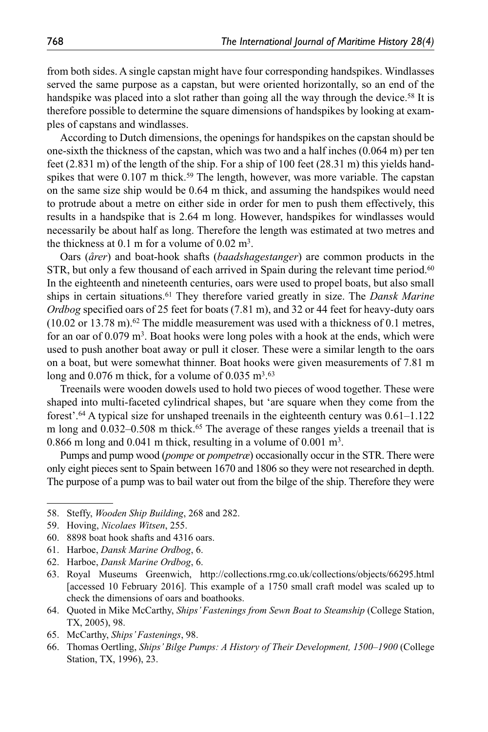from both sides. A single capstan might have four corresponding handspikes. Windlasses served the same purpose as a capstan, but were oriented horizontally, so an end of the handspike was placed into a slot rather than going all the way through the device.<sup>58</sup> It is therefore possible to determine the square dimensions of handspikes by looking at examples of capstans and windlasses.

According to Dutch dimensions, the openings for handspikes on the capstan should be one-sixth the thickness of the capstan, which was two and a half inches (0.064 m) per ten feet (2.831 m) of the length of the ship. For a ship of 100 feet (28.31 m) this yields handspikes that were 0.107 m thick.<sup>59</sup> The length, however, was more variable. The capstan on the same size ship would be 0.64 m thick, and assuming the handspikes would need to protrude about a metre on either side in order for men to push them effectively, this results in a handspike that is 2.64 m long. However, handspikes for windlasses would necessarily be about half as long. Therefore the length was estimated at two metres and the thickness at 0.1 m for a volume of 0.02 m3.

Oars (*årer*) and boat-hook shafts (*baadshagestanger*) are common products in the STR, but only a few thousand of each arrived in Spain during the relevant time period.<sup>60</sup> In the eighteenth and nineteenth centuries, oars were used to propel boats, but also small ships in certain situations.61 They therefore varied greatly in size. The *Dansk Marine Ordbog* specified oars of 25 feet for boats (7.81 m), and 32 or 44 feet for heavy-duty oars  $(10.02 \text{ or } 13.78 \text{ m})$ .<sup>62</sup> The middle measurement was used with a thickness of 0.1 metres, for an oar of 0.079 m3. Boat hooks were long poles with a hook at the ends, which were used to push another boat away or pull it closer. These were a similar length to the oars on a boat, but were somewhat thinner. Boat hooks were given measurements of 7.81 m long and  $0.076$  m thick, for a volume of  $0.035$  m<sup>3</sup>.<sup>63</sup>

Treenails were wooden dowels used to hold two pieces of wood together. These were shaped into multi-faceted cylindrical shapes, but 'are square when they come from the forest'.<sup>64</sup> A typical size for unshaped treenails in the eighteenth century was  $0.61-1.122$ m long and 0.032–0.508 m thick.<sup>65</sup> The average of these ranges yields a treenail that is 0.866 m long and 0.041 m thick, resulting in a volume of 0.001 m3.

Pumps and pump wood (*pompe* or *pompetræ*) occasionally occur in the STR. There were only eight pieces sent to Spain between 1670 and 1806 so they were not researched in depth. The purpose of a pump was to bail water out from the bilge of the ship. Therefore they were

- 62. Harboe, *Dansk Marine Ordbog*, 6.
- 63. Royal Museums Greenwich, <http://collections.rmg.co.uk/collections/objects/66295.html> [accessed 10 February 2016]. This example of a 1750 small craft model was scaled up to check the dimensions of oars and boathooks.
- 64. Quoted in Mike McCarthy, *Ships' Fastenings from Sewn Boat to Steamship* (College Station, TX, 2005), 98.
- 65. McCarthy, *Ships' Fastenings*, 98.
- 66. Thomas Oertling, *Ships' Bilge Pumps: A History of Their Development, 1500–1900* (College Station, TX, 1996), 23.

<sup>58.</sup> Steffy, *Wooden Ship Building*, 268 and 282.

<sup>59.</sup> Hoving, *Nicolaes Witsen*, 255.

<sup>60.</sup> 8898 boat hook shafts and 4316 oars.

<sup>61.</sup> Harboe, *Dansk Marine Ordbog*, 6.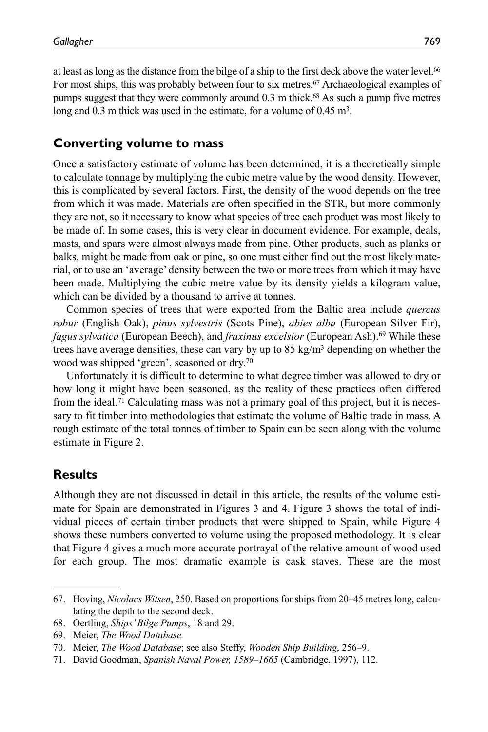at least as long as the distance from the bilge of a ship to the first deck above the water level.66 For most ships, this was probably between four to six metres.67 Archaeological examples of pumps suggest that they were commonly around 0.3 m thick.68 As such a pump five metres long and  $0.3$  m thick was used in the estimate, for a volume of  $0.45 \text{ m}^3$ .

#### **Converting volume to mass**

Once a satisfactory estimate of volume has been determined, it is a theoretically simple to calculate tonnage by multiplying the cubic metre value by the wood density. However, this is complicated by several factors. First, the density of the wood depends on the tree from which it was made. Materials are often specified in the STR, but more commonly they are not, so it necessary to know what species of tree each product was most likely to be made of. In some cases, this is very clear in document evidence. For example, deals, masts, and spars were almost always made from pine. Other products, such as planks or balks, might be made from oak or pine, so one must either find out the most likely material, or to use an 'average' density between the two or more trees from which it may have been made. Multiplying the cubic metre value by its density yields a kilogram value, which can be divided by a thousand to arrive at tonnes.

Common species of trees that were exported from the Baltic area include *quercus robur* (English Oak), *pinus sylvestris* (Scots Pine), *abies alba* (European Silver Fir), *fagus sylvatica* (European Beech), and *fraxinus excelsior* (European Ash).69 While these trees have average densities, these can vary by up to 85 kg/m3 depending on whether the wood was shipped 'green', seasoned or dry.70

Unfortunately it is difficult to determine to what degree timber was allowed to dry or how long it might have been seasoned, as the reality of these practices often differed from the ideal.71 Calculating mass was not a primary goal of this project, but it is necessary to fit timber into methodologies that estimate the volume of Baltic trade in mass. A rough estimate of the total tonnes of timber to Spain can be seen along with the volume estimate in Figure 2.

### **Results**

Although they are not discussed in detail in this article, the results of the volume estimate for Spain are demonstrated in Figures 3 and 4. Figure 3 shows the total of individual pieces of certain timber products that were shipped to Spain, while Figure 4 shows these numbers converted to volume using the proposed methodology. It is clear that Figure 4 gives a much more accurate portrayal of the relative amount of wood used for each group. The most dramatic example is cask staves. These are the most

<sup>67.</sup> Hoving, *Nicolaes Witsen*, 250. Based on proportions for ships from 20–45 metres long, calculating the depth to the second deck.

<sup>68.</sup> Oertling, *Ships' Bilge Pumps*, 18 and 29.

<sup>69.</sup> Meier, *The Wood Database.*

<sup>70.</sup> Meier, *The Wood Database*; see also Steffy, *Wooden Ship Building*, 256–9.

<sup>71.</sup> David Goodman, *Spanish Naval Power, 1589–1665* (Cambridge, 1997), 112.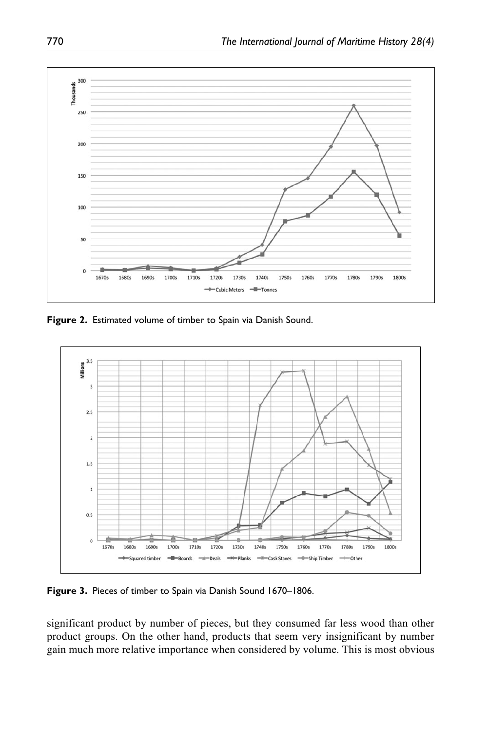

**Figure 2.** Estimated volume of timber to Spain via Danish Sound.



**Figure 3.** Pieces of timber to Spain via Danish Sound 1670–1806.

significant product by number of pieces, but they consumed far less wood than other product groups. On the other hand, products that seem very insignificant by number gain much more relative importance when considered by volume. This is most obvious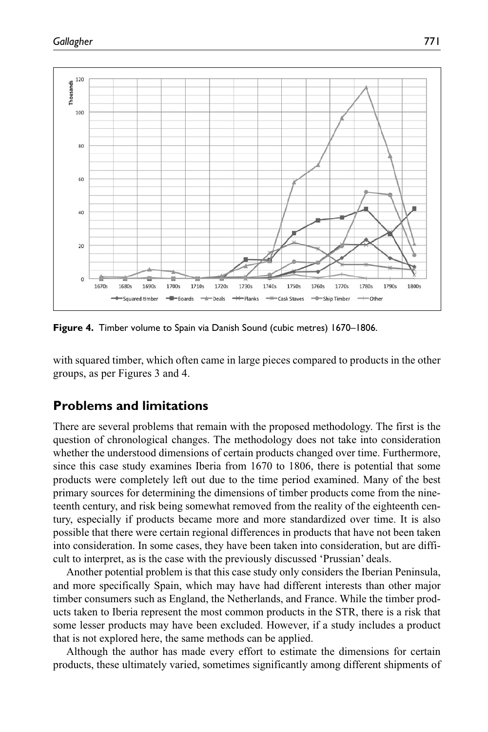

**Figure 4.** Timber volume to Spain via Danish Sound (cubic metres) 1670–1806.

with squared timber, which often came in large pieces compared to products in the other groups, as per Figures 3 and 4.

### **Problems and limitations**

There are several problems that remain with the proposed methodology. The first is the question of chronological changes. The methodology does not take into consideration whether the understood dimensions of certain products changed over time. Furthermore, since this case study examines Iberia from 1670 to 1806, there is potential that some products were completely left out due to the time period examined. Many of the best primary sources for determining the dimensions of timber products come from the nineteenth century, and risk being somewhat removed from the reality of the eighteenth century, especially if products became more and more standardized over time. It is also possible that there were certain regional differences in products that have not been taken into consideration. In some cases, they have been taken into consideration, but are difficult to interpret, as is the case with the previously discussed 'Prussian' deals.

Another potential problem is that this case study only considers the Iberian Peninsula, and more specifically Spain, which may have had different interests than other major timber consumers such as England, the Netherlands, and France. While the timber products taken to Iberia represent the most common products in the STR, there is a risk that some lesser products may have been excluded. However, if a study includes a product that is not explored here, the same methods can be applied.

Although the author has made every effort to estimate the dimensions for certain products, these ultimately varied, sometimes significantly among different shipments of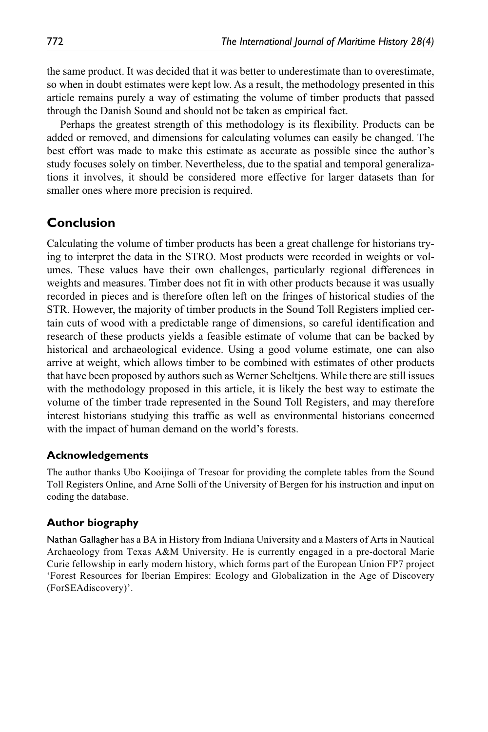the same product. It was decided that it was better to underestimate than to overestimate, so when in doubt estimates were kept low. As a result, the methodology presented in this article remains purely a way of estimating the volume of timber products that passed through the Danish Sound and should not be taken as empirical fact.

Perhaps the greatest strength of this methodology is its flexibility. Products can be added or removed, and dimensions for calculating volumes can easily be changed. The best effort was made to make this estimate as accurate as possible since the author's study focuses solely on timber. Nevertheless, due to the spatial and temporal generalizations it involves, it should be considered more effective for larger datasets than for smaller ones where more precision is required.

# **Conclusion**

Calculating the volume of timber products has been a great challenge for historians trying to interpret the data in the STRO. Most products were recorded in weights or volumes. These values have their own challenges, particularly regional differences in weights and measures. Timber does not fit in with other products because it was usually recorded in pieces and is therefore often left on the fringes of historical studies of the STR. However, the majority of timber products in the Sound Toll Registers implied certain cuts of wood with a predictable range of dimensions, so careful identification and research of these products yields a feasible estimate of volume that can be backed by historical and archaeological evidence. Using a good volume estimate, one can also arrive at weight, which allows timber to be combined with estimates of other products that have been proposed by authors such as Werner Scheltjens. While there are still issues with the methodology proposed in this article, it is likely the best way to estimate the volume of the timber trade represented in the Sound Toll Registers, and may therefore interest historians studying this traffic as well as environmental historians concerned with the impact of human demand on the world's forests.

#### **Acknowledgements**

The author thanks Ubo Kooijinga of Tresoar for providing the complete tables from the Sound Toll Registers Online, and Arne Solli of the University of Bergen for his instruction and input on coding the database.

#### **Author biography**

Nathan Gallagher has a BA in History from Indiana University and a Masters of Arts in Nautical Archaeology from Texas A&M University. He is currently engaged in a pre-doctoral Marie Curie fellowship in early modern history, which forms part of the European Union FP7 project 'Forest Resources for Iberian Empires: Ecology and Globalization in the Age of Discovery (ForSEAdiscovery)'.